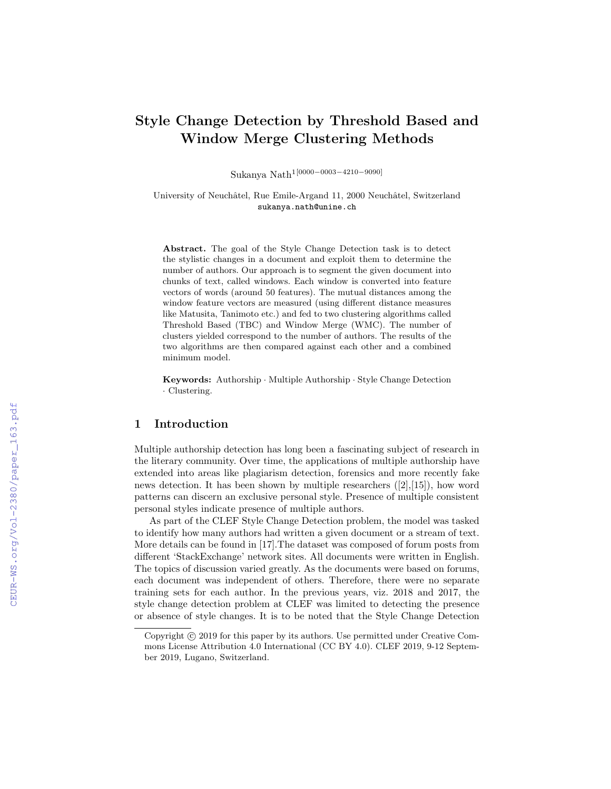# Style Change Detection by Threshold Based and Window Merge Clustering Methods

Sukanya Nath1[0000−0003−4210−9090]

University of Neuchâtel, Rue Emile-Argand 11, 2000 Neuchâtel, Switzerland sukanya.nath@unine.ch

Abstract. The goal of the Style Change Detection task is to detect the stylistic changes in a document and exploit them to determine the number of authors. Our approach is to segment the given document into chunks of text, called windows. Each window is converted into feature vectors of words (around 50 features). The mutual distances among the window feature vectors are measured (using different distance measures like Matusita, Tanimoto etc.) and fed to two clustering algorithms called Threshold Based (TBC) and Window Merge (WMC). The number of clusters yielded correspond to the number of authors. The results of the two algorithms are then compared against each other and a combined minimum model.

Keywords: Authorship · Multiple Authorship · Style Change Detection · Clustering.

## 1 Introduction

Multiple authorship detection has long been a fascinating subject of research in the literary community. Over time, the applications of multiple authorship have extended into areas like plagiarism detection, forensics and more recently fake news detection. It has been shown by multiple researchers ([2],[15]), how word patterns can discern an exclusive personal style. Presence of multiple consistent personal styles indicate presence of multiple authors.

As part of the CLEF Style Change Detection problem, the model was tasked to identify how many authors had written a given document or a stream of text. More details can be found in [17].The dataset was composed of forum posts from different 'StackExchange' network sites. All documents were written in English. The topics of discussion varied greatly. As the documents were based on forums, each document was independent of others. Therefore, there were no separate training sets for each author. In the previous years, viz. 2018 and 2017, the style change detection problem at CLEF was limited to detecting the presence or absence of style changes. It is to be noted that the Style Change Detection

Copyright  $\odot$  2019 for this paper by its authors. Use permitted under Creative Commons License Attribution 4.0 International (CC BY 4.0). CLEF 2019, 9-12 September 2019, Lugano, Switzerland.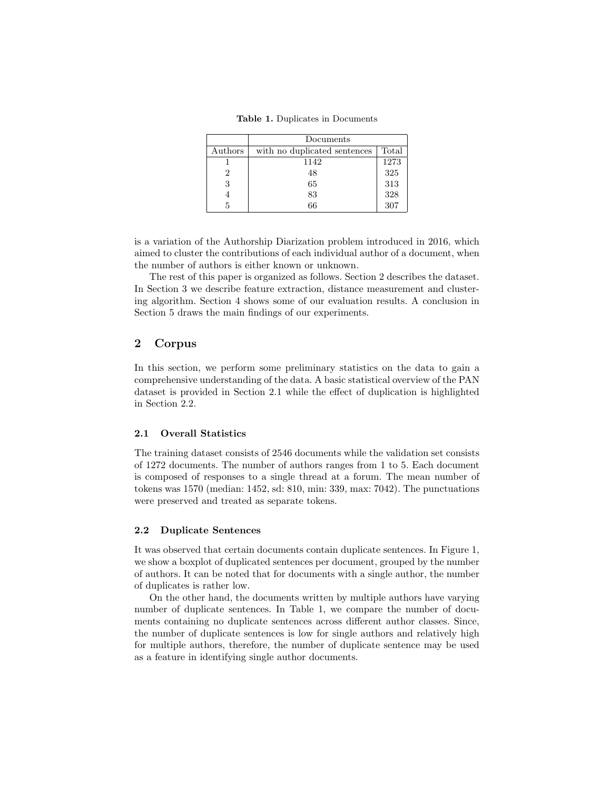Table 1. Duplicates in Documents

|         | Documents                    |       |  |  |  |  |  |  |
|---------|------------------------------|-------|--|--|--|--|--|--|
| Authors | with no duplicated sentences | Total |  |  |  |  |  |  |
|         | 1142                         | 1273  |  |  |  |  |  |  |
|         | 48                           | 325   |  |  |  |  |  |  |
| 3       | 65                           | 313   |  |  |  |  |  |  |
|         | 83                           | 328   |  |  |  |  |  |  |
|         | 66                           | 307   |  |  |  |  |  |  |
|         |                              |       |  |  |  |  |  |  |

is a variation of the Authorship Diarization problem introduced in 2016, which aimed to cluster the contributions of each individual author of a document, when the number of authors is either known or unknown.

The rest of this paper is organized as follows. Section 2 describes the dataset. In Section 3 we describe feature extraction, distance measurement and clustering algorithm. Section 4 shows some of our evaluation results. A conclusion in Section 5 draws the main findings of our experiments.

# 2 Corpus

In this section, we perform some preliminary statistics on the data to gain a comprehensive understanding of the data. A basic statistical overview of the PAN dataset is provided in Section 2.1 while the effect of duplication is highlighted in Section 2.2.

### 2.1 Overall Statistics

The training dataset consists of 2546 documents while the validation set consists of 1272 documents. The number of authors ranges from 1 to 5. Each document is composed of responses to a single thread at a forum. The mean number of tokens was 1570 (median: 1452, sd: 810, min: 339, max: 7042). The punctuations were preserved and treated as separate tokens.

### 2.2 Duplicate Sentences

It was observed that certain documents contain duplicate sentences. In Figure 1, we show a boxplot of duplicated sentences per document, grouped by the number of authors. It can be noted that for documents with a single author, the number of duplicates is rather low.

On the other hand, the documents written by multiple authors have varying number of duplicate sentences. In Table 1, we compare the number of documents containing no duplicate sentences across different author classes. Since, the number of duplicate sentences is low for single authors and relatively high for multiple authors, therefore, the number of duplicate sentence may be used as a feature in identifying single author documents.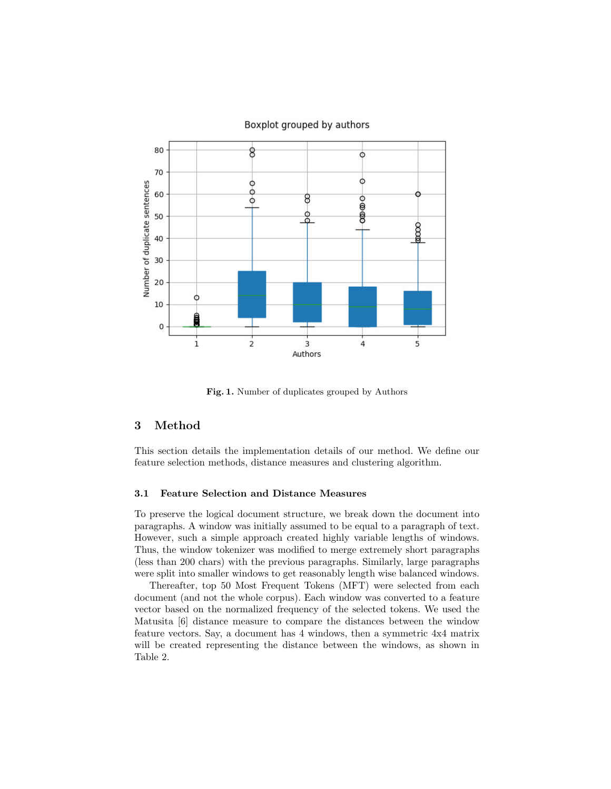

### Boxplot grouped by authors

Fig. 1. Number of duplicates grouped by Authors

# 3 Method

This section details the implementation details of our method. We define our feature selection methods, distance measures and clustering algorithm.

#### 3.1 Feature Selection and Distance Measures

To preserve the logical document structure, we break down the document into paragraphs. A window was initially assumed to be equal to a paragraph of text. However, such a simple approach created highly variable lengths of windows. Thus, the window tokenizer was modified to merge extremely short paragraphs (less than 200 chars) with the previous paragraphs. Similarly, large paragraphs were split into smaller windows to get reasonably length wise balanced windows.

Thereafter, top 50 Most Frequent Tokens (MFT) were selected from each document (and not the whole corpus). Each window was converted to a feature vector based on the normalized frequency of the selected tokens. We used the Matusita [6] distance measure to compare the distances between the window feature vectors. Say, a document has 4 windows, then a symmetric 4x4 matrix will be created representing the distance between the windows, as shown in Table 2.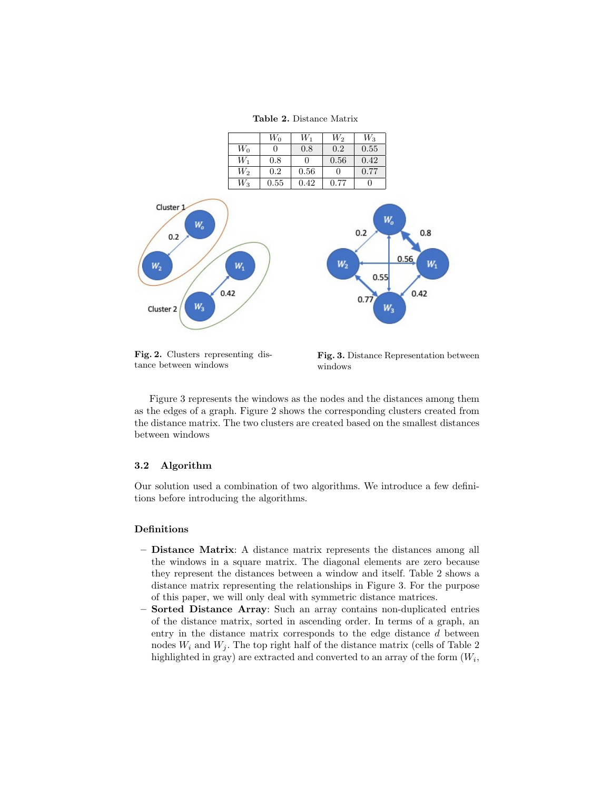Table 2. Distance Matrix



Fig. 2. Clusters representing distance between windows

Fig. 3. Distance Representation between windows

Figure 3 represents the windows as the nodes and the distances among them as the edges of a graph. Figure 2 shows the corresponding clusters created from the distance matrix. The two clusters are created based on the smallest distances between windows

### 3.2 Algorithm

Our solution used a combination of two algorithms. We introduce a few definitions before introducing the algorithms.

### Definitions

- Distance Matrix: A distance matrix represents the distances among all the windows in a square matrix. The diagonal elements are zero because they represent the distances between a window and itself. Table 2 shows a distance matrix representing the relationships in Figure 3. For the purpose of this paper, we will only deal with symmetric distance matrices.
- Sorted Distance Array: Such an array contains non-duplicated entries of the distance matrix, sorted in ascending order. In terms of a graph, an entry in the distance matrix corresponds to the edge distance d between nodes  $W_i$  and  $W_j$ . The top right half of the distance matrix (cells of Table 2) highlighted in gray) are extracted and converted to an array of the form  $(W_i,$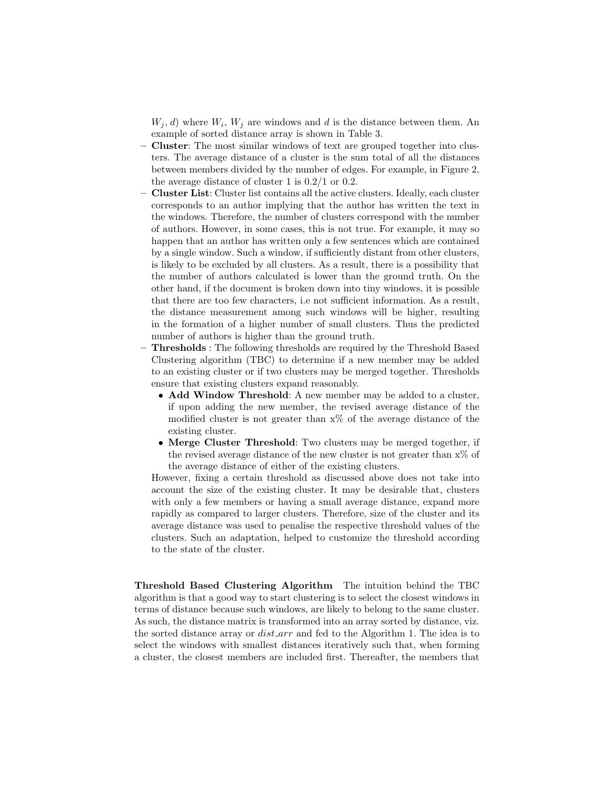$W_j, d$ ) where  $W_i, W_j$  are windows and d is the distance between them. An example of sorted distance array is shown in Table 3.

- Cluster: The most similar windows of text are grouped together into clusters. The average distance of a cluster is the sum total of all the distances between members divided by the number of edges. For example, in Figure 2, the average distance of cluster 1 is  $0.2/1$  or 0.2.
- Cluster List: Cluster list contains all the active clusters. Ideally, each cluster corresponds to an author implying that the author has written the text in the windows. Therefore, the number of clusters correspond with the number of authors. However, in some cases, this is not true. For example, it may so happen that an author has written only a few sentences which are contained by a single window. Such a window, if sufficiently distant from other clusters, is likely to be excluded by all clusters. As a result, there is a possibility that the number of authors calculated is lower than the ground truth. On the other hand, if the document is broken down into tiny windows, it is possible that there are too few characters, i.e not sufficient information. As a result, the distance measurement among such windows will be higher, resulting in the formation of a higher number of small clusters. Thus the predicted number of authors is higher than the ground truth.
- Thresholds : The following thresholds are required by the Threshold Based Clustering algorithm (TBC) to determine if a new member may be added to an existing cluster or if two clusters may be merged together. Thresholds ensure that existing clusters expand reasonably.
	- Add Window Threshold: A new member may be added to a cluster, if upon adding the new member, the revised average distance of the modified cluster is not greater than  $x\%$  of the average distance of the existing cluster.
	- Merge Cluster Threshold: Two clusters may be merged together, if the revised average distance of the new cluster is not greater than  $x\%$  of the average distance of either of the existing clusters.

However, fixing a certain threshold as discussed above does not take into account the size of the existing cluster. It may be desirable that, clusters with only a few members or having a small average distance, expand more rapidly as compared to larger clusters. Therefore, size of the cluster and its average distance was used to penalise the respective threshold values of the clusters. Such an adaptation, helped to customize the threshold according to the state of the cluster.

Threshold Based Clustering Algorithm The intuition behind the TBC algorithm is that a good way to start clustering is to select the closest windows in terms of distance because such windows, are likely to belong to the same cluster. As such, the distance matrix is transformed into an array sorted by distance, viz. the sorted distance array or  $dist_{\mathcal{A}}$  and fed to the Algorithm 1. The idea is to select the windows with smallest distances iteratively such that, when forming a cluster, the closest members are included first. Thereafter, the members that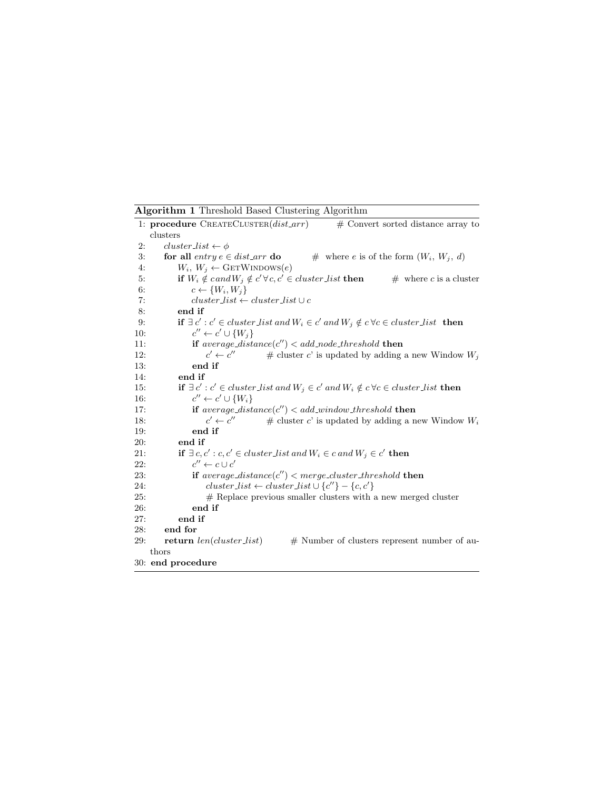Algorithm 1 Threshold Based Clustering Algorithm

|     | 1: procedure $\text{CREATECLUSTER}(dist\_arr)$<br>$#$ Convert sorted distance array to                                         |
|-----|--------------------------------------------------------------------------------------------------------------------------------|
|     | clusters                                                                                                                       |
| 2:  | $cluster\_list \leftarrow \phi$                                                                                                |
| 3:  | for all entry $e \in dist\_arr$ do<br># where e is of the form $(W_i, W_j, d)$                                                 |
| 4:  | $W_i, W_j \leftarrow \text{GETWINDows}(e)$                                                                                     |
| 5:  | if $W_i \notin \mathit{cand} W_j \notin \mathit{c}' \forall c, c' \in \mathit{cluster\_list}$ then<br>$#$ where c is a cluster |
| 6:  | $c \leftarrow \{W_i, W_i\}$                                                                                                    |
| 7:  | $cluster\_list \leftarrow cluster\_list \cup c$                                                                                |
| 8:  | end if                                                                                                                         |
| 9:  | <b>if</b> $\exists c' : c' \in cluster\_list$ and $W_i \in c'$ and $W_j \notin c \forall c \in cluster\_list$ <b>then</b>      |
| 10: | $c'' \leftarrow c' \cup \{W_i\}$                                                                                               |
| 11: | if $average\_distance(c'') < add\_node\_threshold$ then                                                                        |
| 12: | $c' \leftarrow c''$<br># cluster c' is updated by adding a new Window $W_i$                                                    |
| 13: | end if                                                                                                                         |
| 14: | end if                                                                                                                         |
| 15: | <b>if</b> $\exists c' : c' \in cluster\_list$ and $W_j \in c'$ and $W_i \notin c \forall c \in cluster\_list$ then             |
| 16: | $c'' \leftarrow c' \cup \{W_i\}$                                                                                               |
| 17: | if $average\_distance(c'') < add\_window\_threshold$ then                                                                      |
| 18: | $c' \leftarrow c''$<br># cluster $c'$ is updated by adding a new Window $W_i$                                                  |
| 19: | end if                                                                                                                         |
| 20: | end if                                                                                                                         |
| 21: | if $\exists c, c' : c, c' \in cluster\_list$ and $W_i \in c$ and $W_j \in c'$ then                                             |
| 22: | $c'' \leftarrow c \cup c'$                                                                                                     |
| 23: | if $average\_distance(c'') < merge\_cluster\_threshold$ then                                                                   |
| 24: | $cluster\_list \leftarrow cluster\_list \cup \{c''\} - \{c, c'\}$                                                              |
| 25: | $#$ Replace previous smaller clusters with a new merged cluster                                                                |
| 26: | end if                                                                                                                         |
| 27: | end if                                                                                                                         |
| 28: | end for                                                                                                                        |
| 29: | $return \ len (cluster\_list)$<br># Number of clusters represent number of au-                                                 |
|     | thors                                                                                                                          |
|     | 30: end procedure                                                                                                              |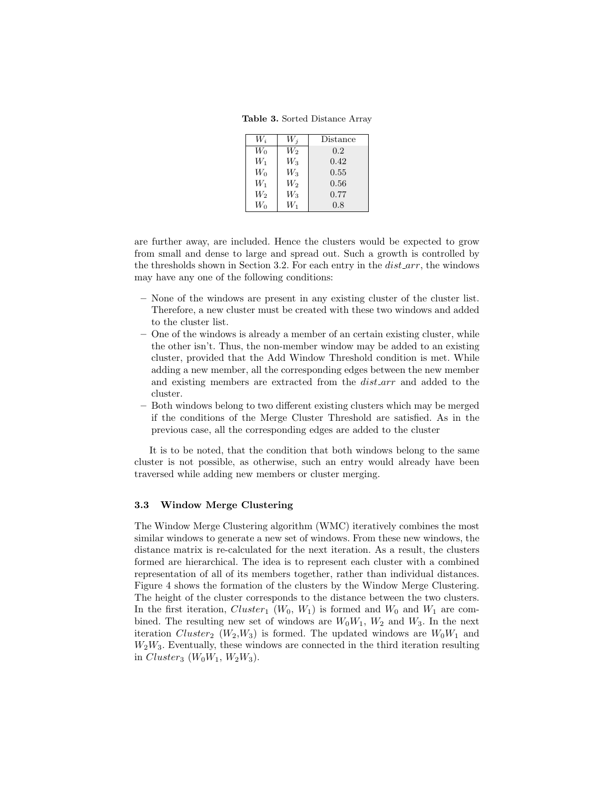Table 3. Sorted Distance Array

| $W_i$ | $W_i$          | Distance |
|-------|----------------|----------|
| $W_0$ | W2             | 0.2      |
| W1    | $\,W_3$        | 0.42     |
| Wo    | $\mathit{W}_3$ | 0.55     |
| W1    | W2             | 0.56     |
| W2    | $\,W_3$        | 0.77     |
| W٥    | W,             | 0.8      |

are further away, are included. Hence the clusters would be expected to grow from small and dense to large and spread out. Such a growth is controlled by the thresholds shown in Section 3.2. For each entry in the  $dist\_arr$ , the windows may have any one of the following conditions:

- None of the windows are present in any existing cluster of the cluster list. Therefore, a new cluster must be created with these two windows and added to the cluster list.
- One of the windows is already a member of an certain existing cluster, while the other isn't. Thus, the non-member window may be added to an existing cluster, provided that the Add Window Threshold condition is met. While adding a new member, all the corresponding edges between the new member and existing members are extracted from the  $dist\_arr$  and added to the cluster.
- Both windows belong to two different existing clusters which may be merged if the conditions of the Merge Cluster Threshold are satisfied. As in the previous case, all the corresponding edges are added to the cluster

It is to be noted, that the condition that both windows belong to the same cluster is not possible, as otherwise, such an entry would already have been traversed while adding new members or cluster merging.

### 3.3 Window Merge Clustering

The Window Merge Clustering algorithm (WMC) iteratively combines the most similar windows to generate a new set of windows. From these new windows, the distance matrix is re-calculated for the next iteration. As a result, the clusters formed are hierarchical. The idea is to represent each cluster with a combined representation of all of its members together, rather than individual distances. Figure 4 shows the formation of the clusters by the Window Merge Clustering. The height of the cluster corresponds to the distance between the two clusters. In the first iteration, Cluster<sub>1</sub> ( $W_0$ ,  $W_1$ ) is formed and  $W_0$  and  $W_1$  are combined. The resulting new set of windows are  $W_0W_1$ ,  $W_2$  and  $W_3$ . In the next iteration Cluster<sub>2</sub> ( $W_2, W_3$ ) is formed. The updated windows are  $W_0W_1$  and  $W_2W_3$ . Eventually, these windows are connected in the third iteration resulting in *Cluster*<sub>3</sub> ( $W_0W_1$ ,  $W_2W_3$ ).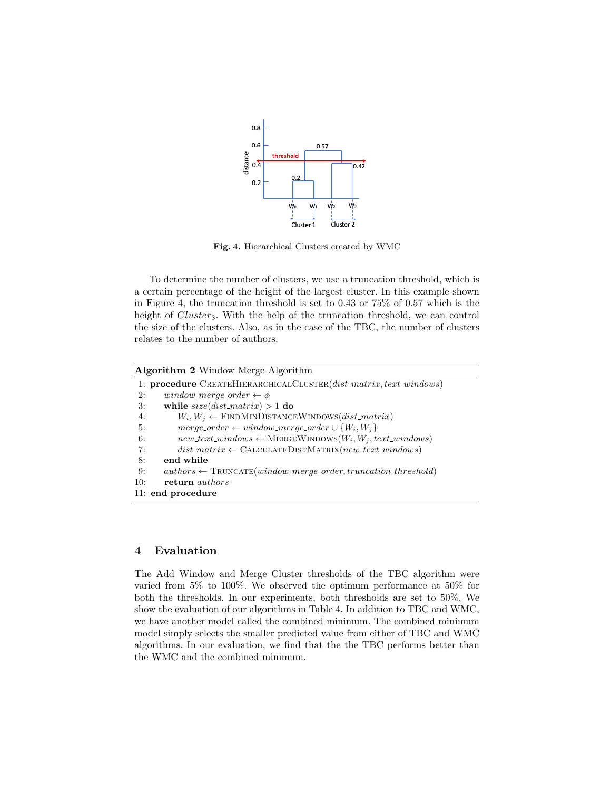

Fig. 4. Hierarchical Clusters created by WMC

To determine the number of clusters, we use a truncation threshold, which is a certain percentage of the height of the largest cluster. In this example shown in Figure 4, the truncation threshold is set to 0.43 or 75% of 0.57 which is the height of  $Cluster_3$ . With the help of the truncation threshold, we can control the size of the clusters. Also, as in the case of the TBC, the number of clusters relates to the number of authors.

|     | <b>Algorithm 2</b> Window Merge Algorithm                                             |  |  |  |  |  |  |
|-----|---------------------------------------------------------------------------------------|--|--|--|--|--|--|
|     | 1: procedure CREATEHIERARCHICALCLUSTER(dist_matrix,text_windows)                      |  |  |  |  |  |  |
| 2:  | window_merge_order $\leftarrow \phi$                                                  |  |  |  |  |  |  |
| 3:  | while $size(dist_matrix) > 1$ do                                                      |  |  |  |  |  |  |
| 4:  | $W_i, W_i \leftarrow$ FINDMINDISTANCEWINDOWS(dist_matrix)                             |  |  |  |  |  |  |
| 5:  | $merge\_\text{order} \leftarrow window\_\text{merge\_\text{order}} \cup \{W_i, W_i\}$ |  |  |  |  |  |  |
| 6:  | $new\_text\_windows \leftarrow \text{MERGEWhDOWs}(W_i, W_i, text\_windows)$           |  |  |  |  |  |  |
| 7:  | $dist\_matrix \leftarrow \text{CALCULATEDISTMATRIX}(new\_text\_windows)$              |  |  |  |  |  |  |
| 8:  | end while                                                                             |  |  |  |  |  |  |
| 9:  | $authors \leftarrow \text{TRUNCATE}(window\_merge\_order, truncation\_threshold)$     |  |  |  |  |  |  |
| 10: | return <i>authors</i>                                                                 |  |  |  |  |  |  |
|     | 11: end procedure                                                                     |  |  |  |  |  |  |

# 4 Evaluation

The Add Window and Merge Cluster thresholds of the TBC algorithm were varied from 5% to 100%. We observed the optimum performance at 50% for both the thresholds. In our experiments, both thresholds are set to 50%. We show the evaluation of our algorithms in Table 4. In addition to TBC and WMC, we have another model called the combined minimum. The combined minimum model simply selects the smaller predicted value from either of TBC and WMC algorithms. In our evaluation, we find that the the TBC performs better than the WMC and the combined minimum.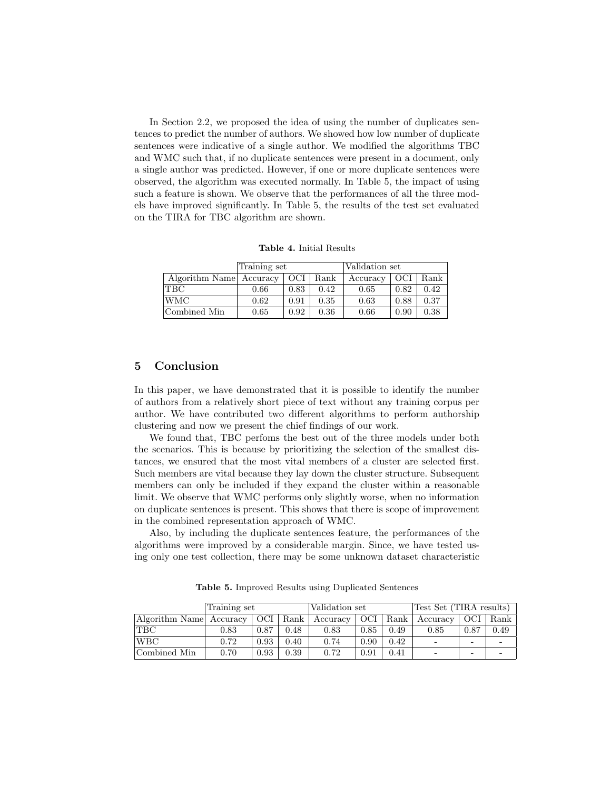In Section 2.2, we proposed the idea of using the number of duplicates sentences to predict the number of authors. We showed how low number of duplicate sentences were indicative of a single author. We modified the algorithms TBC and WMC such that, if no duplicate sentences were present in a document, only a single author was predicted. However, if one or more duplicate sentences were observed, the algorithm was executed normally. In Table 5, the impact of using such a feature is shown. We observe that the performances of all the three models have improved significantly. In Table 5, the results of the test set evaluated on the TIRA for TBC algorithm are shown.

Table 4. Initial Results

|                         | Training set |      |      | Validation set |      |      |  |
|-------------------------|--------------|------|------|----------------|------|------|--|
| Algorithm Name Accuracy |              | OCI  | Rank | Accuracy       | OCI  | Rank |  |
| <b>TBC</b>              | 0.66         | 0.83 | 0.42 | 0.65           | 0.82 | 0.42 |  |
| <b>WMC</b>              | 0.62         | 0.91 | 0.35 | 0.63           | 0.88 | 0.37 |  |
| Combined Min            | 0.65         | 0.92 | 0.36 | 0.66           | 0.90 | 0.38 |  |

## 5 Conclusion

In this paper, we have demonstrated that it is possible to identify the number of authors from a relatively short piece of text without any training corpus per author. We have contributed two different algorithms to perform authorship clustering and now we present the chief findings of our work.

We found that, TBC perfoms the best out of the three models under both the scenarios. This is because by prioritizing the selection of the smallest distances, we ensured that the most vital members of a cluster are selected first. Such members are vital because they lay down the cluster structure. Subsequent members can only be included if they expand the cluster within a reasonable limit. We observe that WMC performs only slightly worse, when no information on duplicate sentences is present. This shows that there is scope of improvement in the combined representation approach of WMC.

Also, by including the duplicate sentences feature, the performances of the algorithms were improved by a considerable margin. Since, we have tested using only one test collection, there may be some unknown dataset characteristic

|                         | Training set |      |      | Validation set        |       |      | Test Set (TIRA results)  |       |      |
|-------------------------|--------------|------|------|-----------------------|-------|------|--------------------------|-------|------|
| Algorithm Name Accuracy |              |      |      | OCI   Rank   Accuracy | - OCI | Rank | $\pm$ Accuracy           | - OCI | Rank |
| <b>TBC</b>              | $\rm 0.83$   | 0.87 | 0.48 | 0.83                  | 0.85  | 0.49 | 0.85                     | 0.87  | 0.49 |
| WBC                     | 0.72         | 0.93 | 0.40 | 0.74                  | 0.90  | 0.42 | $\overline{\phantom{0}}$ | -     |      |
| Combined Min            | 0.70         | 0.93 | 0.39 | 0.72                  | 0.91  | 0.41 |                          | -     |      |

Table 5. Improved Results using Duplicated Sentences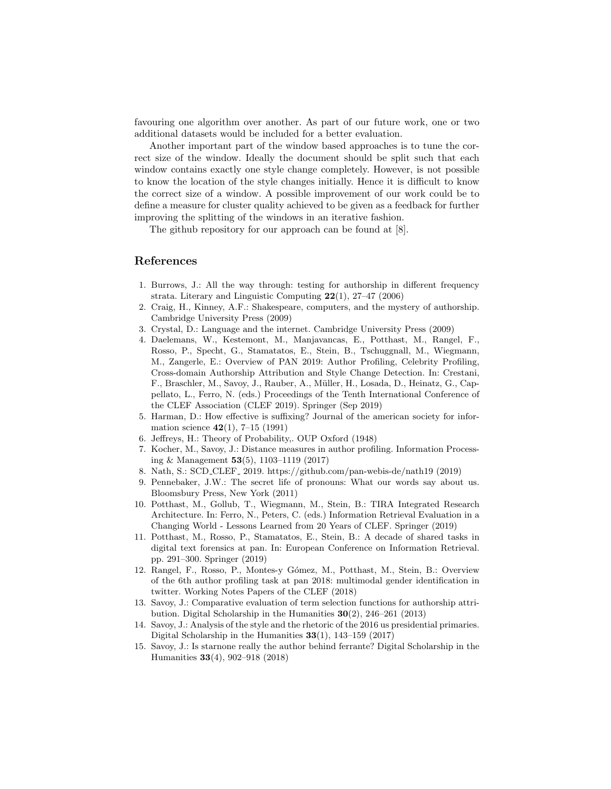favouring one algorithm over another. As part of our future work, one or two additional datasets would be included for a better evaluation.

Another important part of the window based approaches is to tune the correct size of the window. Ideally the document should be split such that each window contains exactly one style change completely. However, is not possible to know the location of the style changes initially. Hence it is difficult to know the correct size of a window. A possible improvement of our work could be to define a measure for cluster quality achieved to be given as a feedback for further improving the splitting of the windows in an iterative fashion.

The github repository for our approach can be found at [8].

# References

- 1. Burrows, J.: All the way through: testing for authorship in different frequency strata. Literary and Linguistic Computing  $22(1)$ , 27–47 (2006)
- 2. Craig, H., Kinney, A.F.: Shakespeare, computers, and the mystery of authorship. Cambridge University Press (2009)
- 3. Crystal, D.: Language and the internet. Cambridge University Press (2009)
- 4. Daelemans, W., Kestemont, M., Manjavancas, E., Potthast, M., Rangel, F., Rosso, P., Specht, G., Stamatatos, E., Stein, B., Tschuggnall, M., Wiegmann, M., Zangerle, E.: Overview of PAN 2019: Author Profiling, Celebrity Profiling, Cross-domain Authorship Attribution and Style Change Detection. In: Crestani, F., Braschler, M., Savoy, J., Rauber, A., M¨uller, H., Losada, D., Heinatz, G., Cappellato, L., Ferro, N. (eds.) Proceedings of the Tenth International Conference of the CLEF Association (CLEF 2019). Springer (Sep 2019)
- 5. Harman, D.: How effective is suffixing? Journal of the american society for information science  $42(1)$ , 7-15 (1991)
- 6. Jeffreys, H.: Theory of Probability,. OUP Oxford (1948)
- 7. Kocher, M., Savoy, J.: Distance measures in author profiling. Information Processing & Management 53(5), 1103–1119 (2017)
- 8. Nath, S.: SCD CLEF 2019. https://github.com/pan-webis-de/nath19 (2019)
- 9. Pennebaker, J.W.: The secret life of pronouns: What our words say about us. Bloomsbury Press, New York (2011)
- 10. Potthast, M., Gollub, T., Wiegmann, M., Stein, B.: TIRA Integrated Research Architecture. In: Ferro, N., Peters, C. (eds.) Information Retrieval Evaluation in a Changing World - Lessons Learned from 20 Years of CLEF. Springer (2019)
- 11. Potthast, M., Rosso, P., Stamatatos, E., Stein, B.: A decade of shared tasks in digital text forensics at pan. In: European Conference on Information Retrieval. pp. 291–300. Springer (2019)
- 12. Rangel, F., Rosso, P., Montes-y G´omez, M., Potthast, M., Stein, B.: Overview of the 6th author profiling task at pan 2018: multimodal gender identification in twitter. Working Notes Papers of the CLEF (2018)
- 13. Savoy, J.: Comparative evaluation of term selection functions for authorship attribution. Digital Scholarship in the Humanities 30(2), 246–261 (2013)
- 14. Savoy, J.: Analysis of the style and the rhetoric of the 2016 us presidential primaries. Digital Scholarship in the Humanities  $33(1)$ , 143-159 (2017)
- 15. Savoy, J.: Is starnone really the author behind ferrante? Digital Scholarship in the Humanities 33(4), 902–918 (2018)